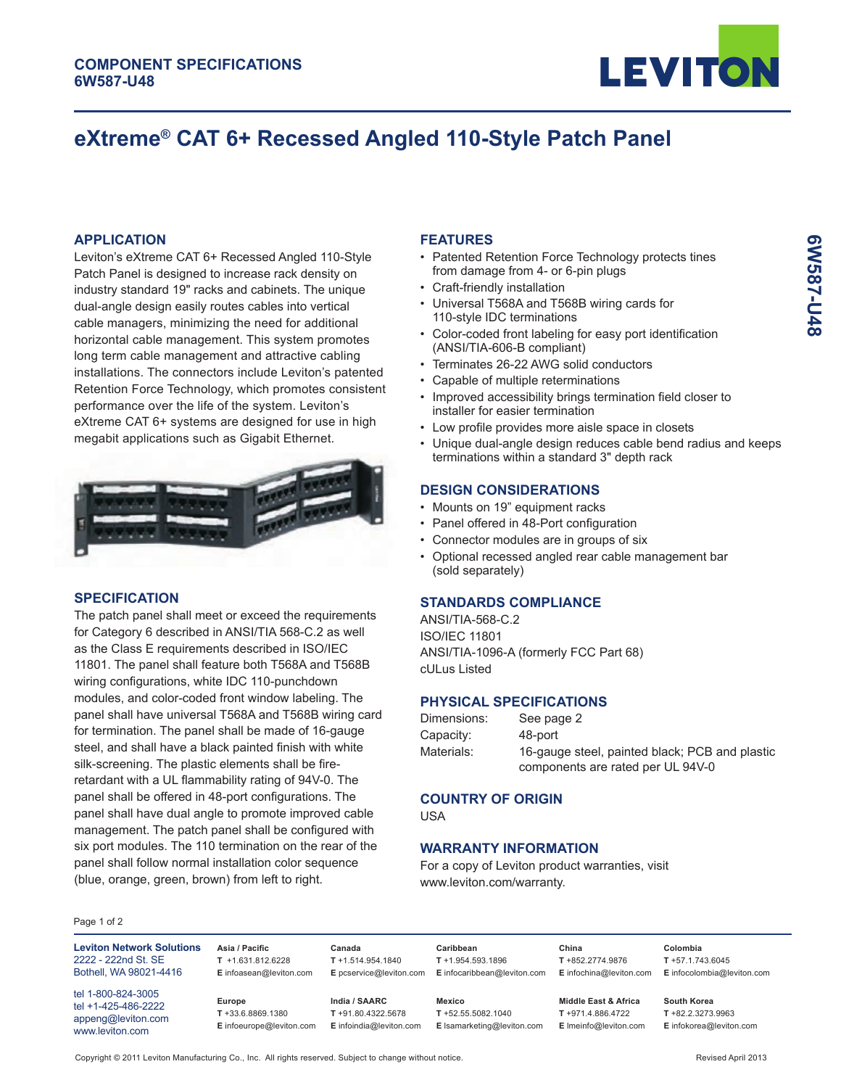

# **eXtreme® CAT 6+ Recessed Angled 110-Style Patch Panel**

## **APPLICATION**

Leviton's eXtreme CAT 6+ Recessed Angled 110-Style Patch Panel is designed to increase rack density on industry standard 19" racks and cabinets. The unique dual-angle design easily routes cables into vertical cable managers, minimizing the need for additional horizontal cable management. This system promotes long term cable management and attractive cabling installations. The connectors include Leviton's patented Retention Force Technology, which promotes consistent performance over the life of the system. Leviton's eXtreme CAT 6+ systems are designed for use in high megabit applications such as Gigabit Ethernet.



### **SPECIFICATION**

The patch panel shall meet or exceed the requirements for Category 6 described in ANSI/TIA 568-C.2 as well as the Class E requirements described in ISO/IEC 11801. The panel shall feature both T568A and T568B wiring configurations, white IDC 110-punchdown modules, and color-coded front window labeling. The panel shall have universal T568A and T568B wiring card for termination. The panel shall be made of 16-gauge steel, and shall have a black painted finish with white silk-screening. The plastic elements shall be fireretardant with a UL flammability rating of 94V-0. The panel shall be offered in 48-port configurations. The panel shall have dual angle to promote improved cable management. The patch panel shall be configured with six port modules. The 110 termination on the rear of the panel shall follow normal installation color sequence (blue, orange, green, brown) from left to right.

# **FEATURES**

- Patented Retention Force Technology protects tines from damage from 4- or 6-pin plugs
- Craft-friendly installation
- Universal T568A and T568B wiring cards for 110-style IDC terminations
- Color-coded front labeling for easy port identification (ANSI/TIA-606-B compliant)
- Terminates 26-22 AWG solid conductors
- Capable of multiple reterminations
- Improved accessibility brings termination field closer to installer for easier termination
- Low profile provides more aisle space in closets
- Unique dual-angle design reduces cable bend radius and keeps terminations within a standard 3" depth rack

### **DESIGN CONSIDERATIONS**

- Mounts on 19" equipment racks
- Panel offered in 48-Port configuration
- Connector modules are in groups of six
- Optional recessed angled rear cable management bar (sold separately)

# **STANDARDS COMPLIANCE**

ANSI/TIA-568-C.2 ISO/IEC 11801 ANSI/TIA-1096-A (formerly FCC Part 68) cULus Listed

# **PHYSICAL SPECIFICATIONS**

| Dimensions: | See page 2                                     |
|-------------|------------------------------------------------|
| Capacity:   | 48-port                                        |
| Materials:  | 16-gauge steel, painted black; PCB and plastic |
|             | components are rated per UL 94V-0              |

#### **COUNTRY OF ORIGIN**

USA

# **WARRANTY INFORMATION**

For a copy of Leviton product warranties, visit www.leviton.com/warranty.

#### Page 1 of 2

| <b>Leviton Network Solutions</b><br>2222 - 222nd St. SE<br>Bothell, WA 98021-4416  | Asia / Pacific<br>$T + 1.631.812.6228$<br>E infoasean@leviton.com | Canada<br>$T + 1.514.954.1840$<br>E pcservice@leviton.com         | Caribbean<br>$T + 1.954.593.1896$<br>E infocaribbean@leviton.com | China<br>$T + 852.2774.9876$<br>E infochina@leviton.com                          | Colombia<br>$T + 57.1.743.6045$<br>E infocolombia@leviton.com         |
|------------------------------------------------------------------------------------|-------------------------------------------------------------------|-------------------------------------------------------------------|------------------------------------------------------------------|----------------------------------------------------------------------------------|-----------------------------------------------------------------------|
| tel 1-800-824-3005<br>tel +1-425-486-2222<br>appeng@leviton.com<br>www.leviton.com | Europe<br>$T + 33.6.8869.1380$<br>E infoeurope@leviton.com        | India / SAARC<br>$T + 91.80.4322.5678$<br>E infoindia@leviton.com | Mexico<br>$T + 52.55.5082.1040$<br>E Isamarketing@leviton.com    | <b>Middle East &amp; Africa</b><br>$T + 971.4.886.4722$<br>E Imeinfo@leviton.com | <b>South Korea</b><br>$T + 82.2.3273.9963$<br>E infokorea@leviton.com |

Copyright © 2011 Leviton Manufacturing Co., Inc. All rights reserved. Subject to change without notice. Revised April 2013